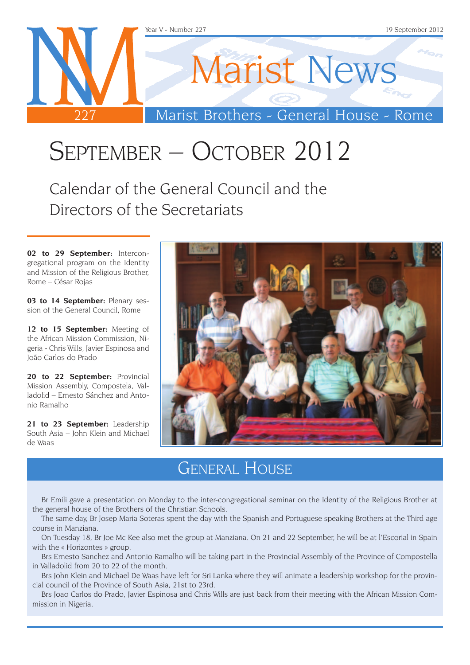

# September – October 2012

Calendar of the General Council and the Directors of the Secretariats

**02 to 29 September:** Intercongregational program on the Identity and Mission of the Religious Brother, Rome – César Rojas

**03 to 14 September:** Plenary session of the General Council, Rome

12 to 15 September: Meeting of the African Mission Commission, Nigeria - Chris Wills, Javier Espinosa and João Carlos do Prado

20 to 22 September: Provincial Mission Assembly, Compostela, Valladolid – Ernesto Sánchez and Antonio Ramalho

21 to 23 September: Leadership South Asia – John Klein and Michael de Waas



### General House

Br Emili gave a presentation on Monday to the inter-congregational seminar on the Identity of the Religious Brother at the general house of the Brothers of the Christian Schools.

The same day, Br Josep Maria Soteras spent the day with the Spanish and Portuguese speaking Brothers at the Third age course in Manziana.

On Tuesday 18, Br Joe Mc Kee also met the group at Manziana. On 21 and 22 September, he will be at l'Escorial in Spain with the « Horizontes » group.

Brs Ernesto Sanchez and Antonio Ramalho will be taking part in the Provincial Assembly of the Province of Compostella in Valladolid from 20 to 22 of the month.

Brs John Klein and Michael De Waas have left for Sri Lanka where they will animate a leadership workshop for the provincial council of the Province of South Asia, 21st to 23rd.

Brs Joao Carlos do Prado, Javier Espinosa and Chris Wills are just back from their meeting with the African Mission Commission in Nigeria.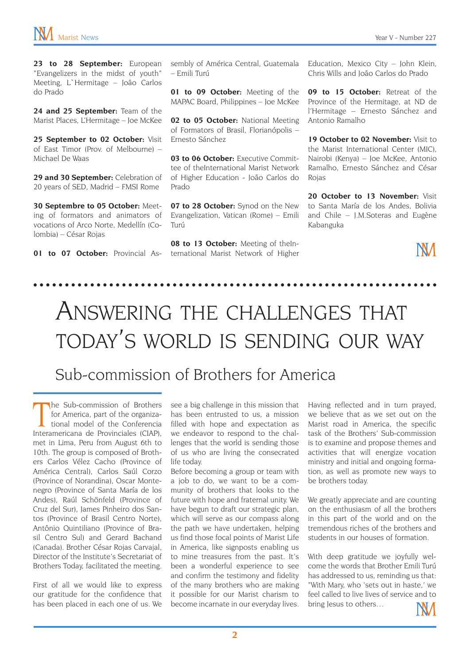23 to 28 September: European "Evangelizers in the midst of youth" Meeting, L`Hermitage – João Carlos do Prado

24 and 25 September: Team of the Marist Places, L'Hermitage – Joe McKee

25 September to 02 October: Visit of East Timor (Prov. of Melbourne) – Michael De Waas

29 and 30 September: Celebration of 20 years of SED, Madrid – FMSI Rome

**30 Septembre to 05 October:** Meeting of formators and animators of vocations of Arco Norte, Medellín (Colombia) – César Rojas

01 to 07 October: Provincial As-

sembly of América Central, Guatemala – Emili Turú

**01 to 09 October:** Meeting of the MAPAC Board, Philippines – Joe McKee

02 to 05 October: National Meeting of Formators of Brasil, Florianópolis – Ernesto Sánchez

03 to 06 October: Executive Committee of theInternational Marist Network of Higher Education - João Carlos do Prado

07 to 28 October: Synod on the New Evangelization, Vatican (Rome) – Emili Turú

08 to 13 October: Meeting of theInternational Marist Network of Higher Education, Mexico City – John Klein, Chris Wills and João Carlos do Prado

**09 to 15 October:** Retreat of the Province of the Hermitage, at ND de l'Hermitage – Ernesto Sánchez and Antonio Ramalho

19 October to 02 November: Visit to the Marist International Center (MIC), Nairobi (Kenya) – Joe McKee, Antonio Ramalho, Ernesto Sánchez and César Rojas

**20 October to 13 November:** Visit to Santa María de los Andes, Bolivia and Chile – J.M.Soteras and Eugène Kabanguka

### **NM**

## Answering the challenges that today's world is sending our way

#### Sub-commission of Brothers for America

The Sub-commission of Brothers<br>for America, part of the organiza-<br>tional model of the Conferencia<br>Interamericana de Provinciales (CIAP), he Sub-commission of Brothers for America, part of the organizational model of the Conferencia met in Lima, Peru from August 6th to 10th. The group is composed of Brothers Carlos Vélez Cacho (Province of América Central), Carlos Saúl Corzo (Province of Norandina), Oscar Montenegro (Province of Santa María de los Andes), Raúl Schönfeld (Province of Cruz del Sur), James Pinheiro dos Santos (Province of Brasil Centro Norte), Antônio Quintiliano (Province of Brasil Centro Sul) and Gerard Bachand (Canada). Brother César Rojas Carvajal, Director of the Institute's Secretariat of Brothers Today, facilitated the meeting.

First of all we would like to express our gratitude for the confidence that has been placed in each one of us. We

see a big challenge in this mission that has been entrusted to us, a mission filled with hope and expectation as we endeavor to respond to the challenges that the world is sending those of us who are living the consecrated life today.

Before becoming a group or team with a job to do, we want to be a community of brothers that looks to the future with hope and fraternal unity. We have begun to draft our strategic plan, which will serve as our compass along the path we have undertaken, helping us find those focal points of Marist Life in America, like signposts enabling us to mine treasures from the past. It's been a wonderful experience to see and confirm the testimony and fidelity of the many brothers who are making it possible for our Marist charism to become incarnate in our everyday lives.

Having reflected and in turn prayed, we believe that as we set out on the Marist road in America, the specific task of the Brothers' Sub-commission is to examine and propose themes and activities that will energize vocation ministry and initial and ongoing formation, as well as promote new ways to be brothers today.

We greatly appreciate and are counting on the enthusiasm of all the brothers in this part of the world and on the tremendous riches of the brothers and students in our houses of formation.

With deep gratitude we joyfully welcome the words that Brother Emili Turú has addressed to us, reminding us that: "With Mary, who 'sets out in haste,' we feel called to live lives of service and to bring Jesus to others...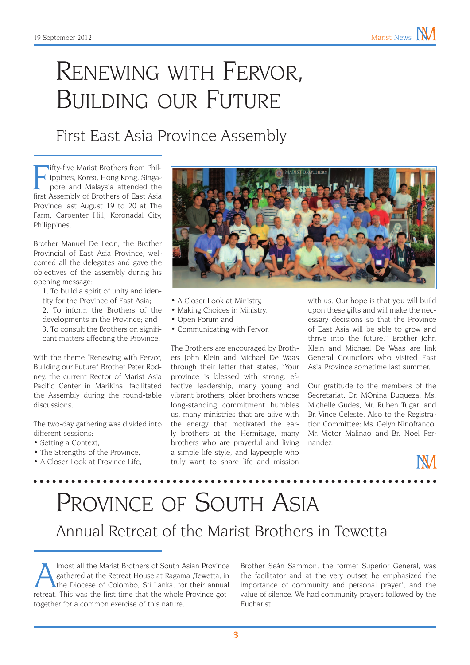## Renewing with Fervor, Building our Future

#### First East Asia Province Assembly

Ifty-five Marist Brothers from Phil-<br>ippines, Korea, Hong Kong, Singa-<br>pore and Malaysia attended the<br>first Assembly of Brothers of East Asia ifty-five Marist Brothers from Philippines, Korea, Hong Kong, Singapore and Malaysia attended the Province last August 19 to 20 at The Farm, Carpenter Hill, Koronadal City, Philippines.

Brother Manuel De Leon, the Brother Provincial of East Asia Province, welcomed all the delegates and gave the objectives of the assembly during his opening message:

1. To build a spirit of unity and identity for the Province of East Asia;

2. To inform the Brothers of the developments in the Province; and 3. To consult the Brothers on significant matters affecting the Province.

With the theme "Renewing with Fervor, Building our Future" Brother Peter Rodney, the current Rector of Marist Asia Pacific Center in Marikina, facilitated the Assembly during the round-table discussions.

The two-day gathering was divided into different sessions:

- Setting a Context,
- The Strengths of the Province.
- A Closer Look at Province Life.



- A Closer Look at Ministry,
- Making Choices in Ministry,
- • Open Forum and
- • Communicating with Fervor.

The Brothers are encouraged by Brothers John Klein and Michael De Waas through their letter that states, "Your province is blessed with strong, effective leadership, many young and vibrant brothers, older brothers whose long-standing commitment humbles us, many ministries that are alive with the energy that motivated the early brothers at the Hermitage, many brothers who are prayerful and living a simple life style, and laypeople who truly want to share life and mission

with us. Our hope is that you will build upon these gifts and will make the necessary decisions so that the Province of East Asia will be able to grow and thrive into the future." Brother John Klein and Michael De Waas are link General Councilors who visited East Asia Province sometime last summer.

Our gratitude to the members of the Secretariat: Dr. MOnina Duqueza, Ms. Michelle Gudes, Mr. Ruben Tugari and Br. Vince Celeste. Also to the Registration Committee: Ms. Gelyn Ninofranco, Mr. Victor Malinao and Br. Noel Fernandez.

## PROVINCE OF SOUTH ASIA Annual Retreat of the Marist Brothers in Tewetta

Imost all the Marist Brothers of South Asian Province<br>gathered at the Retreat House at Ragama ,Tewetta, in<br>the Diocese of Colombo, Sri Lanka, for their annual<br>retreat. This was the first time that the whole Province got. gathered at the Retreat House at Ragama ,Tewetta, in the Diocese of Colombo, Sri Lanka, for their annual retreat. This was the first time that the whole Province gottogether for a common exercise of this nature.

Brother Seán Sammon, the former Superior General, was the facilitator and at the very outset he emphasized the importance of community and personal prayer', and the value of silence. We had community prayers followed by the Eucharist.